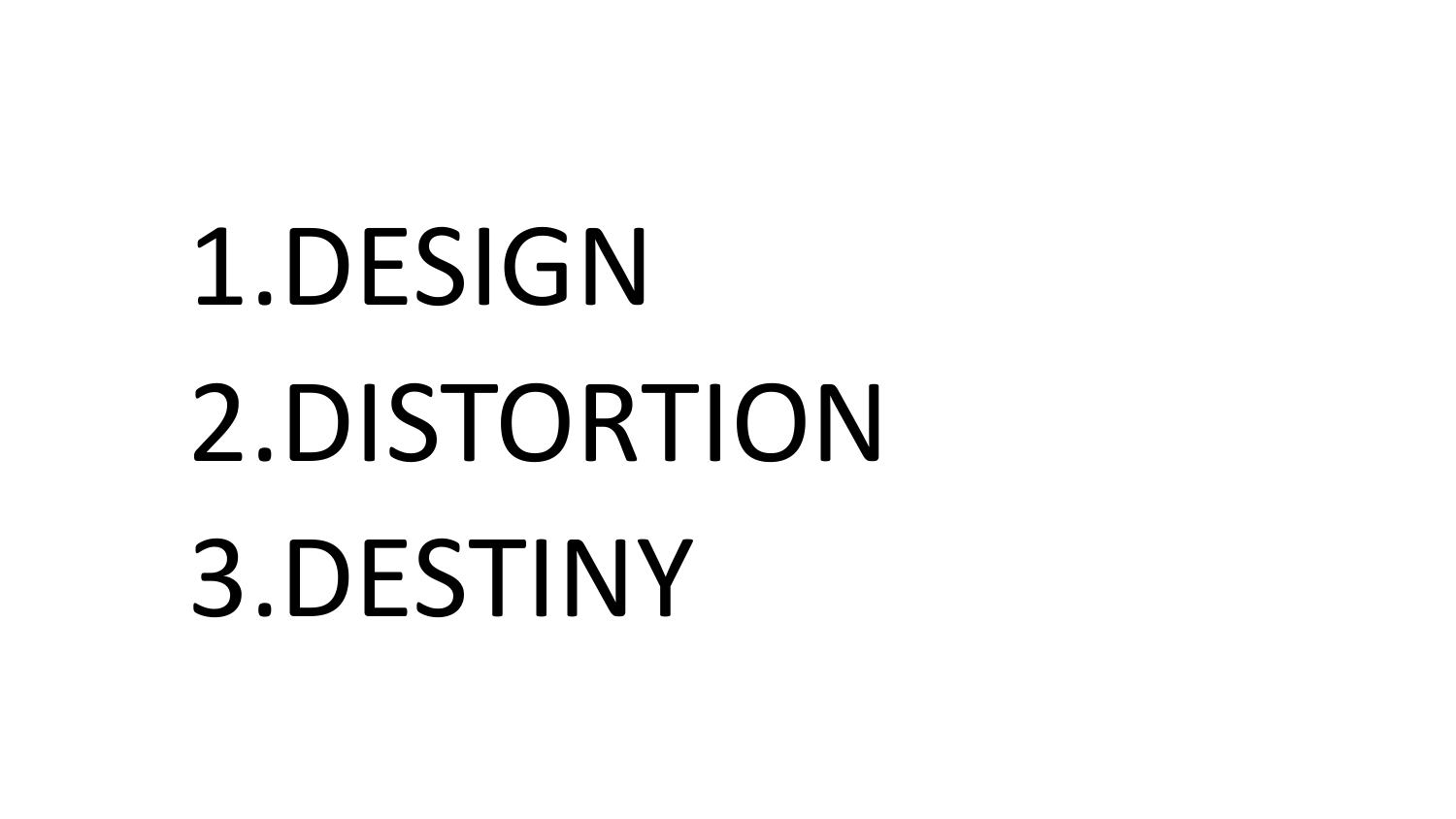# 1.DESIGN 2.DISTORTION 3.DESTINY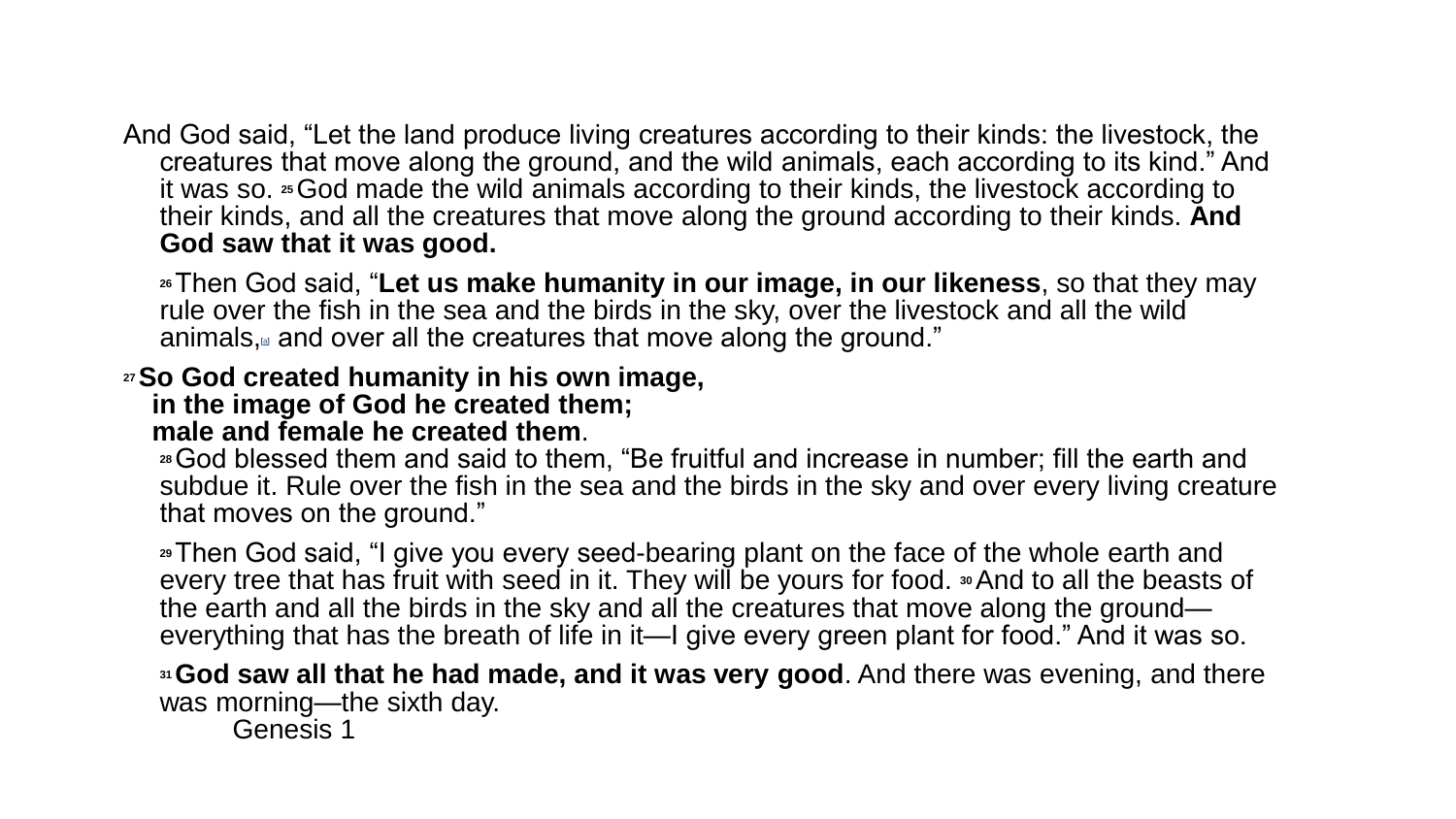And God said, "Let the land produce living creatures according to their kinds: the livestock, the creatures that move along the ground, and the wild animals, each according to its kind." And it was so. **25**God made the wild animals according to their kinds, the livestock according to their kinds, and all the creatures that move along the ground according to their kinds. **And God saw that it was good.**

**<sup>26</sup>**Then God said, "**Let us make humanity in our image, in our likeness**, so that they may rule over the fish in the sea and the birds in the sky, over the livestock and all the wild [a](https://www.biblegateway.com/passage/?search=Genesis 1&version=NIV#fen-NIV-26a)nimals, $a$  and over all the creatures that move along the ground."

#### **<sup>27</sup>So God created humanity in his own image, in the image of God he created them; male and female he created them**.

**<sup>28</sup>**God blessed them and said to them, "Be fruitful and increase in number; fill the earth and subdue it. Rule over the fish in the sea and the birds in the sky and over every living creature that moves on the ground."

**<sup>29</sup>**Then God said, "I give you every seed-bearing plant on the face of the whole earth and every tree that has fruit with seed in it. They will be yours for food. **30**And to all the beasts of the earth and all the birds in the sky and all the creatures that move along the ground everything that has the breath of life in it—I give every green plant for food." And it was so.

**<sup>31</sup>God saw all that he had made, and it was very good**. And there was evening, and there was morning—the sixth day.

Genesis 1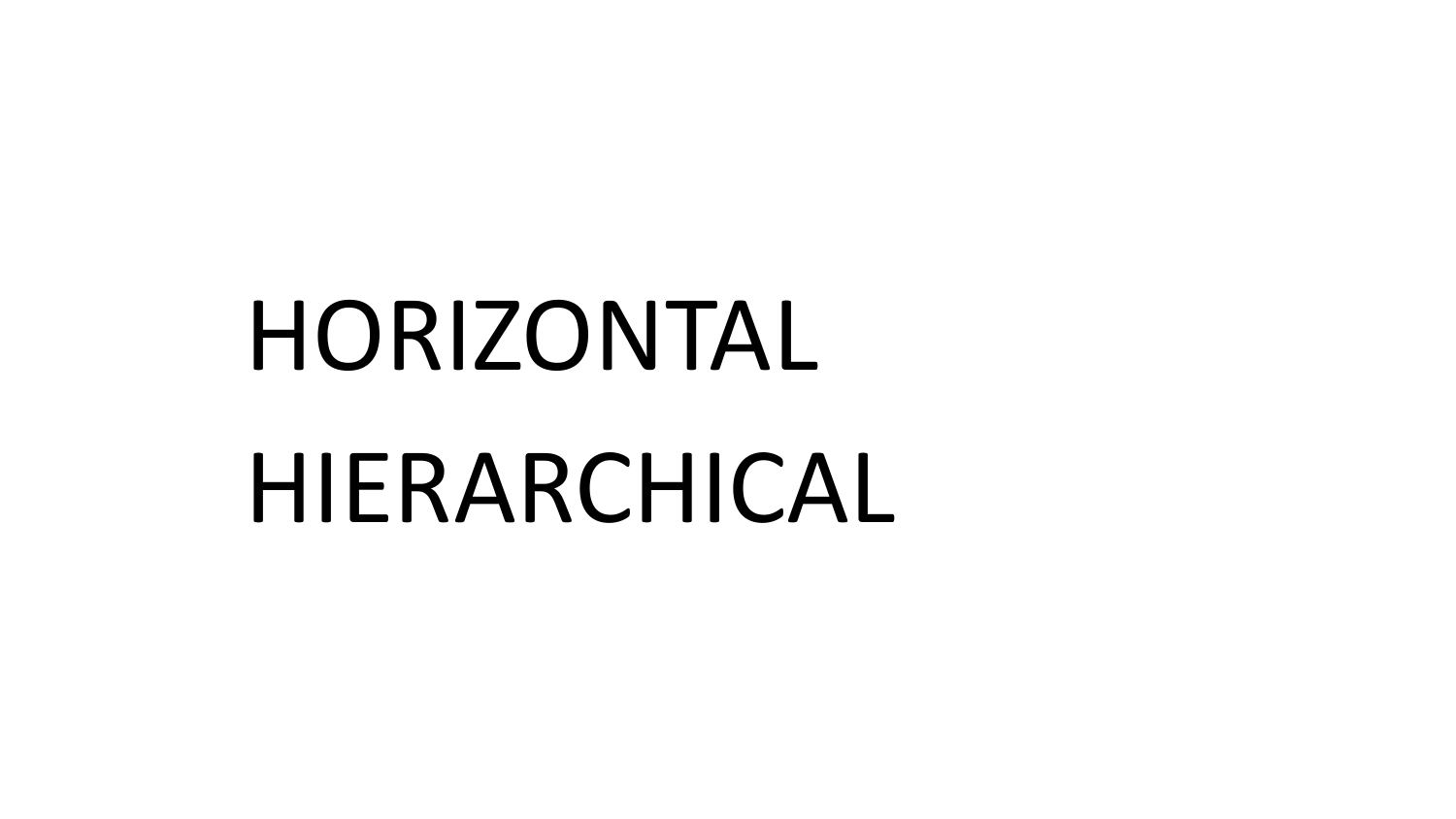# HORIZONTAL HIERARCHICAL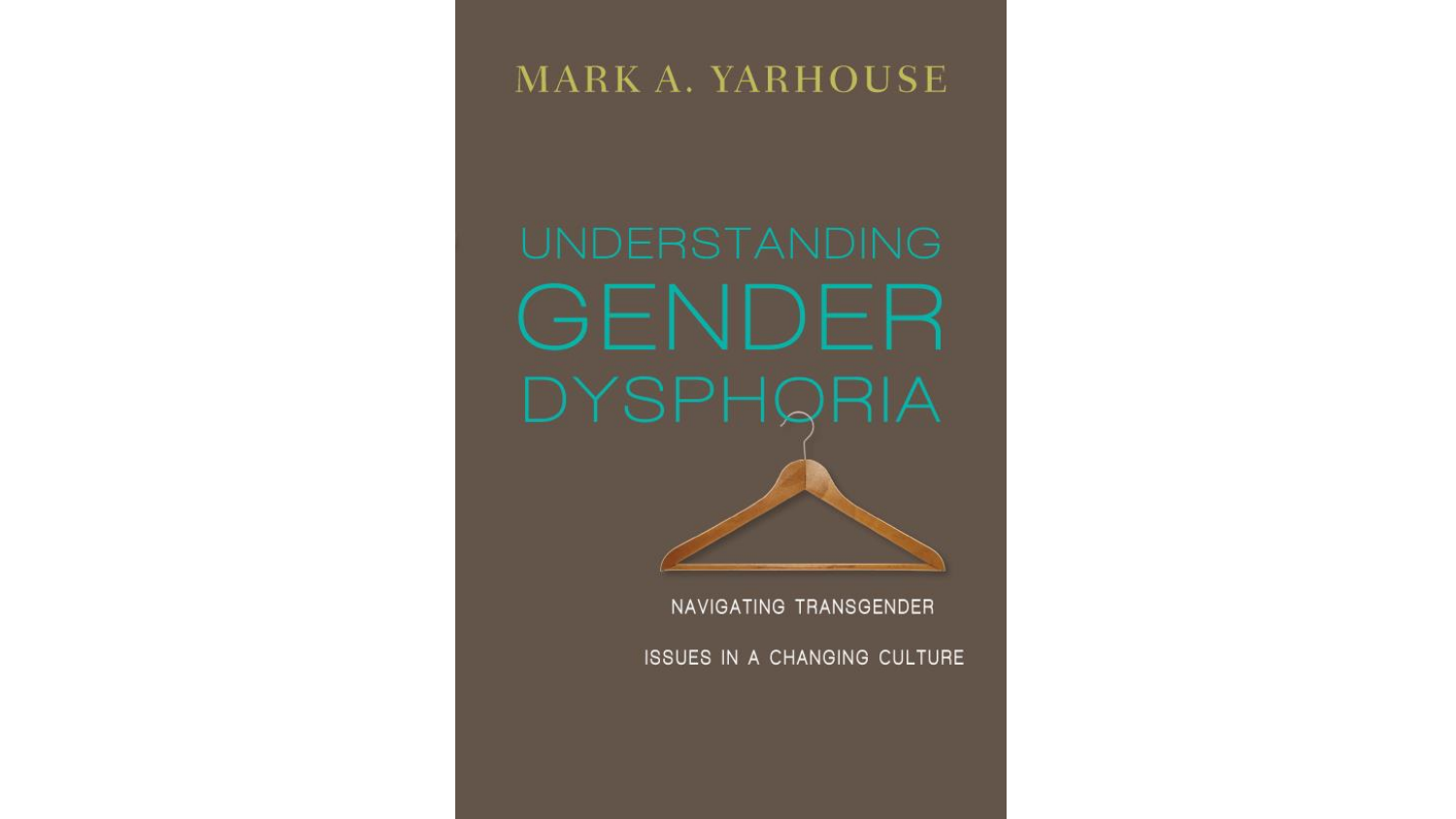### MARK A. YARHOUSE

GENDER **DYSPHQRIA** 

NAVIGATING TRANSGENDER

ISSUES IN A CHANGING CULTURE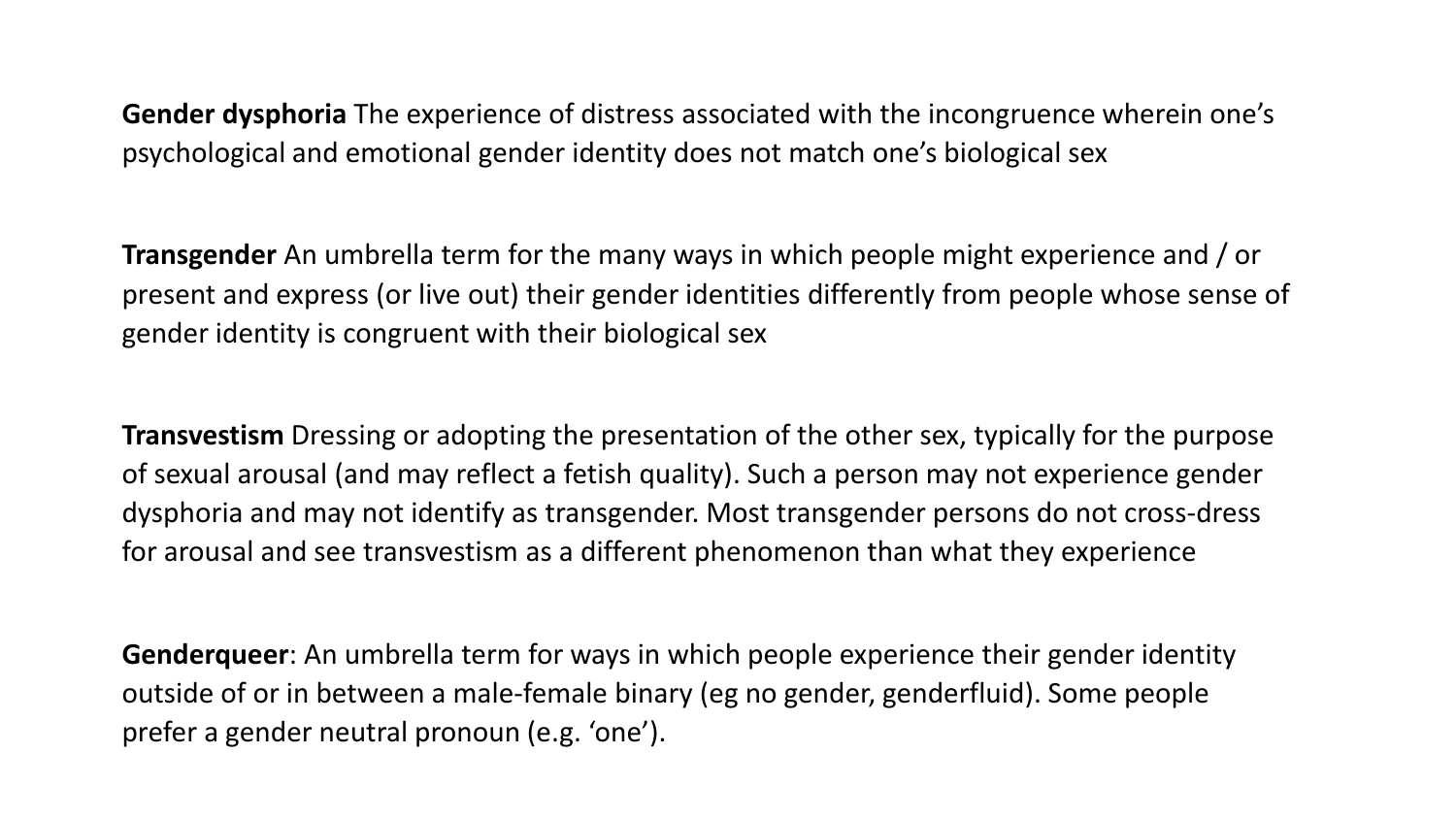**Gender dysphoria** The experience of distress associated with the incongruence wherein one's psychological and emotional gender identity does not match one's biological sex

**Transgender** An umbrella term for the many ways in which people might experience and / or present and express (or live out) their gender identities differently from people whose sense of gender identity is congruent with their biological sex

**Transvestism** Dressing or adopting the presentation of the other sex, typically for the purpose of sexual arousal (and may reflect a fetish quality). Such a person may not experience gender dysphoria and may not identify as transgender. Most transgender persons do not cross-dress for arousal and see transvestism as a different phenomenon than what they experience

**Genderqueer**: An umbrella term for ways in which people experience their gender identity outside of or in between a male-female binary (eg no gender, genderfluid). Some people prefer a gender neutral pronoun (e.g. 'one').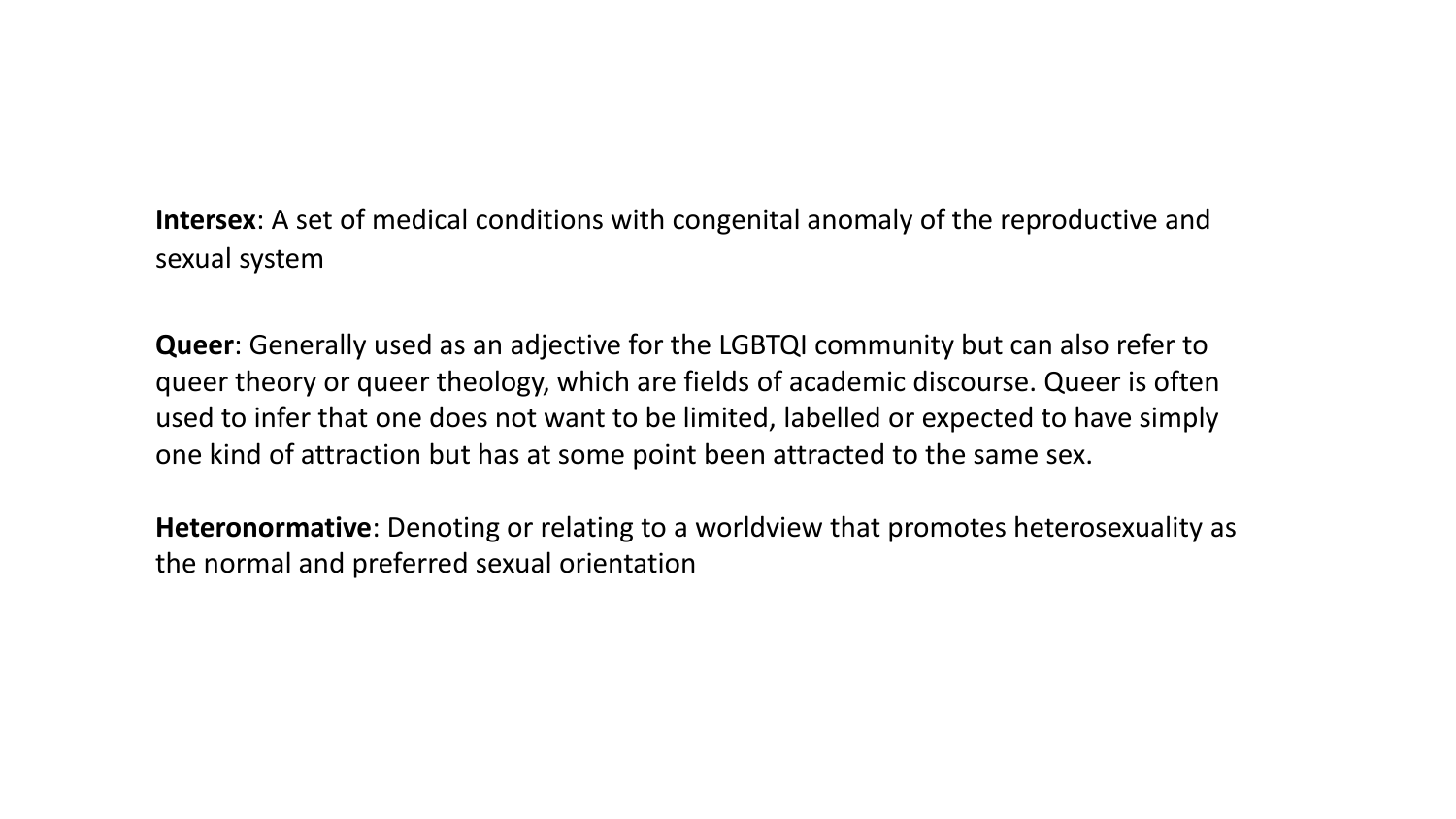**Intersex**: A set of medical conditions with congenital anomaly of the reproductive and sexual system

**Queer**: Generally used as an adjective for the LGBTQI community but can also refer to queer theory or queer theology, which are fields of academic discourse. Queer is often used to infer that one does not want to be limited, labelled or expected to have simply one kind of attraction but has at some point been attracted to the same sex.

**Heteronormative**: Denoting or relating to a worldview that promotes heterosexuality as the normal and preferred sexual orientation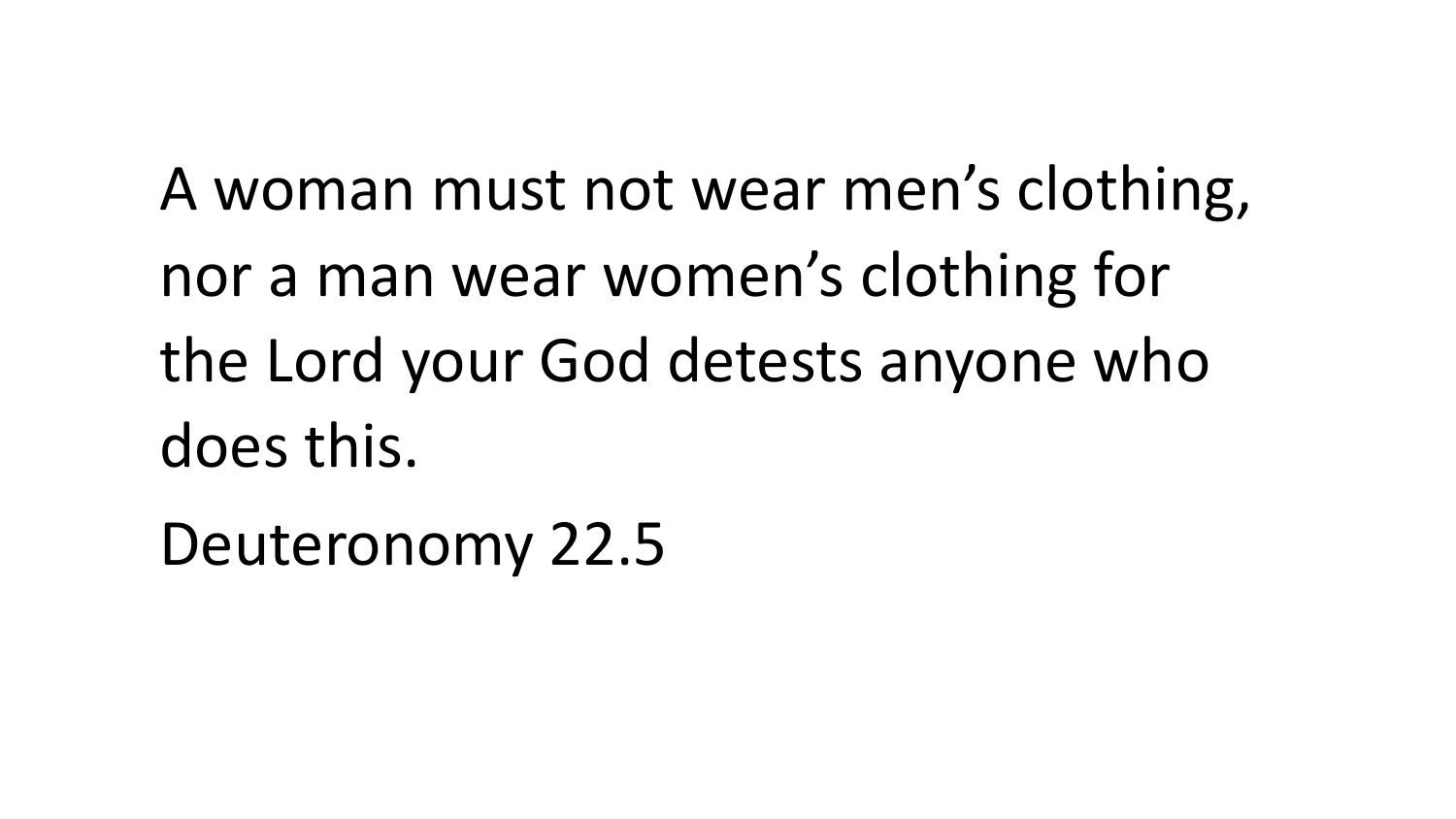A woman must not wear men's clothing, nor a man wear women's clothing for the Lord your God detests anyone who does this.

Deuteronomy 22.5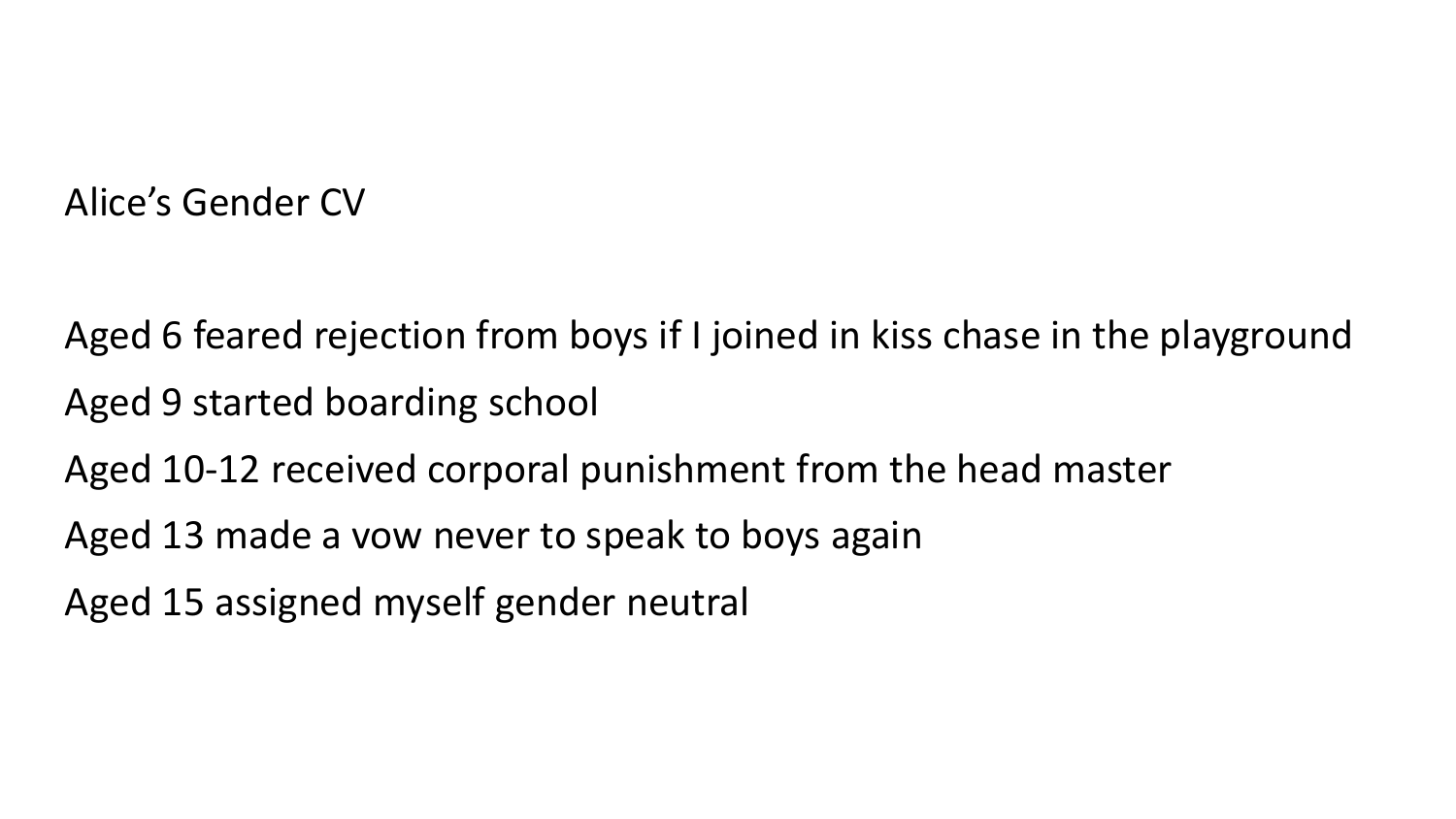### Alice's Gender CV

Aged 6 feared rejection from boys if I joined in kiss chase in the playground Aged 9 started boarding school

Aged 10-12 received corporal punishment from the head master

Aged 13 made a vow never to speak to boys again

Aged 15 assigned myself gender neutral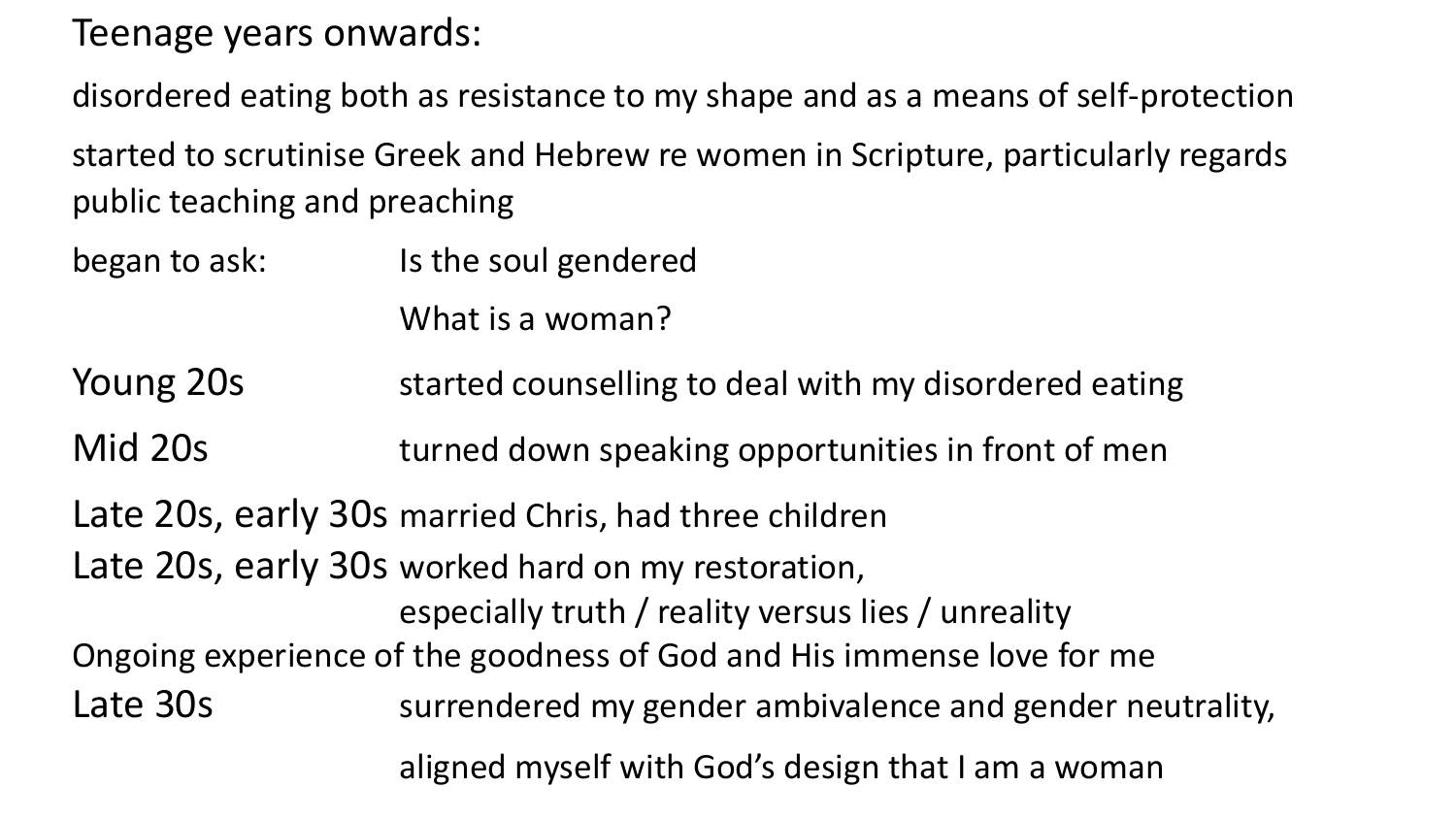Teenage years onwards:

disordered eating both as resistance to my shape and as a means of self-protection started to scrutinise Greek and Hebrew re women in Scripture, particularly regards public teaching and preaching

began to ask: Is the soul gendered

What is a woman?

- Young 20s started counselling to deal with my disordered eating
- Mid 20s The turned down speaking opportunities in front of men

Late 20s, early 30s married Chris, had three children

Late 20s, early 30s worked hard on my restoration,

especially truth / reality versus lies / unreality

- Ongoing experience of the goodness of God and His immense love for me
- Late 30s surrendered my gender ambivalence and gender neutrality,

aligned myself with God's design that I am a woman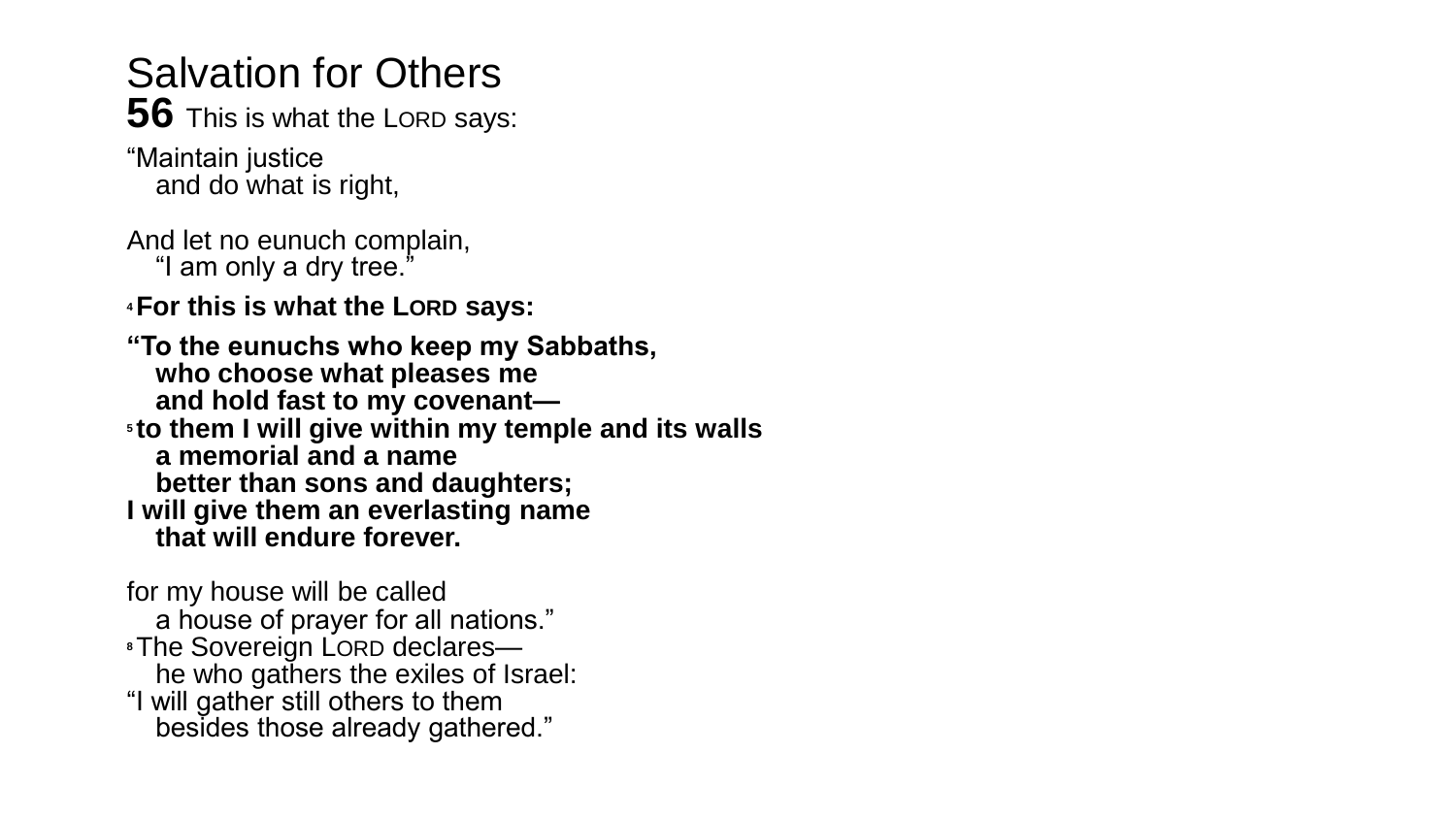## Salvation for Others

**56** This is what the LORD says:

"Maintain justice and do what is right,

And let no eunuch complain, "I am only a dry tree."

**<sup>4</sup>For this is what the LORD says:**

**"To the eunuchs who keep my Sabbaths, who choose what pleases me and hold fast to my covenant— <sup>5</sup> to them I will give within my temple and its walls a memorial and a name better than sons and daughters; I will give them an everlasting name that will endure forever.**

for my house will be called a house of prayer for all nations." **<sup>8</sup>**The Sovereign LORD declares he who gathers the exiles of Israel: "I will gather still others to them besides those already gathered."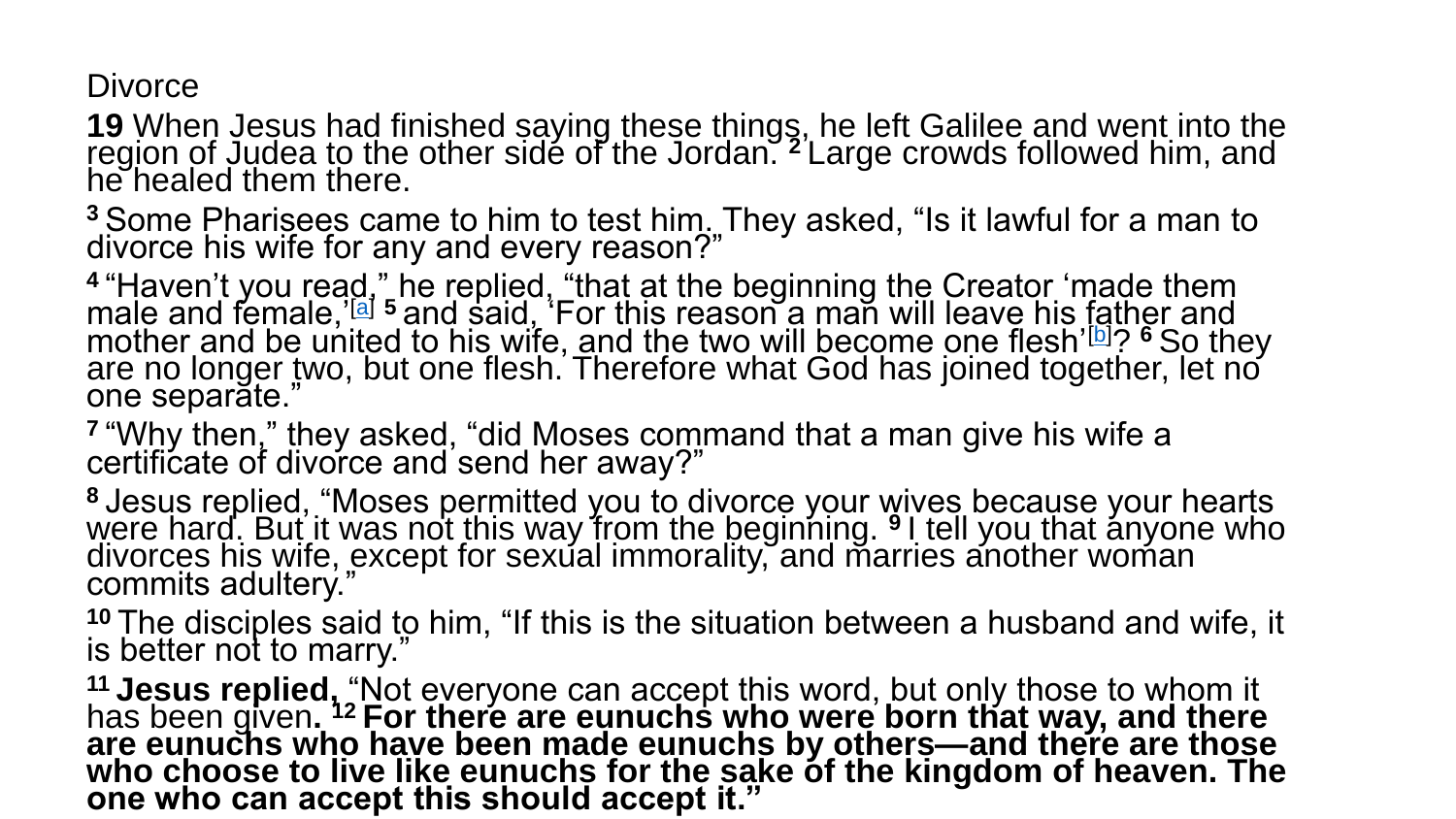**Divorce** 

**19** When Jesus had finished saying these things, he left Galilee and went into the region of Judea to the other side of the Jordan. **<sup>2</sup>** Large crowds followed him, and he healed them there.

**<sup>3</sup>** Some Pharisees came to him to test him. They asked, "Is it lawful for a man to divorce his wife for any and every reason?"

<sup>4</sup> "Haven't you read," he replied, "that at the beginning the Creator 'made them male and female,'[[a](https://www.biblegateway.com/passage/?search=Matthew+19&version=NIV#fen-NIV-23767a)] **<sup>5</sup>** and said, 'For this reason a man will leave his father and mother and be united to his wife, and the two will become one flesh'[\[b](https://www.biblegateway.com/passage/?search=Matthew+19&version=NIV#fen-NIV-23768b)]? **<sup>6</sup>** So they are no longer two, but one flesh. Therefore what God has joined together, let no one separate."

<sup>7</sup> "Why then," they asked, "did Moses command that a man give his wife a certificate of divorce and send her away?"

**<sup>8</sup>** Jesus replied, "Moses permitted you to divorce your wives because your hearts were hard. But it was not this way from the beginning. <sup>9</sup> I tell you that anyone who divorces his wife, except for sexual immorality, and marries another woman commits adultery."

**<sup>10</sup>** The disciples said to him, "If this is the situation between a husband and wife, it is better not to marry."

<sup>11</sup> Jesus replied, "Not everyone can accept this word, but only those to whom it has been given**. <sup>12</sup> For there are eunuchs who were born that way, and there are eunuchs who have been made eunuchs by others—and there are those who choose to live like eunuchs for the sake of the kingdom of heaven. The one who can accept this should accept it."**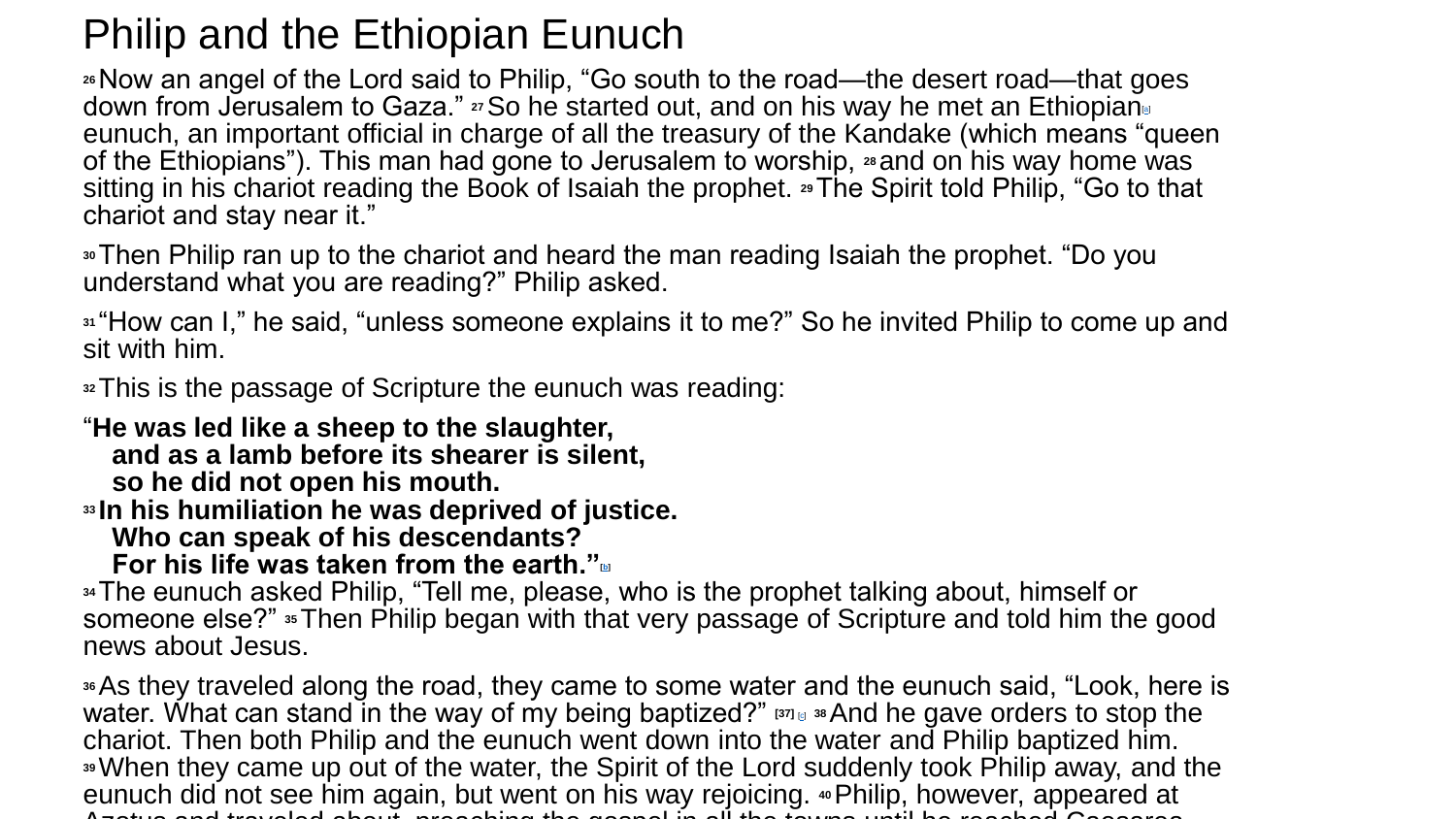## Philip and the Ethiopian Eunuch

**<sup>26</sup>**Now an angel of the Lord said to Philip, "Go south to the road—the desert road—that goes down from Jerusalem to Gaza." **27**So he started out, and on his way he met an Ethiopian[\[a](https://www.biblegateway.com/passage/?search=Acts+8&version=NIV#fen-NIV-27204a)] eunuch, an important official in charge of all the treasury of the Kandake (which means "queen of the Ethiopians"). This man had gone to Jerusalem to worship, **<sup>28</sup>** and on his way home was sitting in his chariot reading the Book of Isaiah the prophet. **29**The Spirit told Philip, "Go to that chariot and stay near it."

**<sup>30</sup>**Then Philip ran up to the chariot and heard the man reading Isaiah the prophet. "Do you understand what you are reading?" Philip asked.

**<sup>31</sup>** "How can I," he said, "unless someone explains it to me?" So he invited Philip to come up and sit with him.

**<sup>32</sup>**This is the passage of Scripture the eunuch was reading:

"**He was led like a sheep to the slaughter, and as a lamb before its shearer is silent, so he did not open his mouth.**

**<sup>33</sup> In his humiliation he was deprived of justice.**

**Who can speak of his descendants?**

**For his life was taken from the earth."[[b\]](https://www.biblegateway.com/passage/?search=Acts+8&version=NIV#fen-NIV-27210b)**

**<sup>34</sup>**The eunuch asked Philip, "Tell me, please, who is the prophet talking about, himself or someone else?" **35**Then Philip began with that very passage of Scripture and told him the good news about Jesus.

**<sup>36</sup>**As they traveled along the road, they came to some water and the eunuch said, "Look, here is water. What can stand in the way of my being baptized?" **[37]** [[c](https://www.biblegateway.com/passage/?search=Acts+8&version=NIV#fen-NIV-27214c)] **<sup>38</sup>**And he gave orders to stop the chariot. Then both Philip and the eunuch went down into the water and Philip baptized him. **<sup>39</sup>**When they came up out of the water, the Spirit of the Lord suddenly took Philip away, and the eunuch did not see him again, but went on his way rejoicing. **40**Philip, however, appeared at Azotus and traveled about, preaching the gospel in all the towns until he reached Caesarea.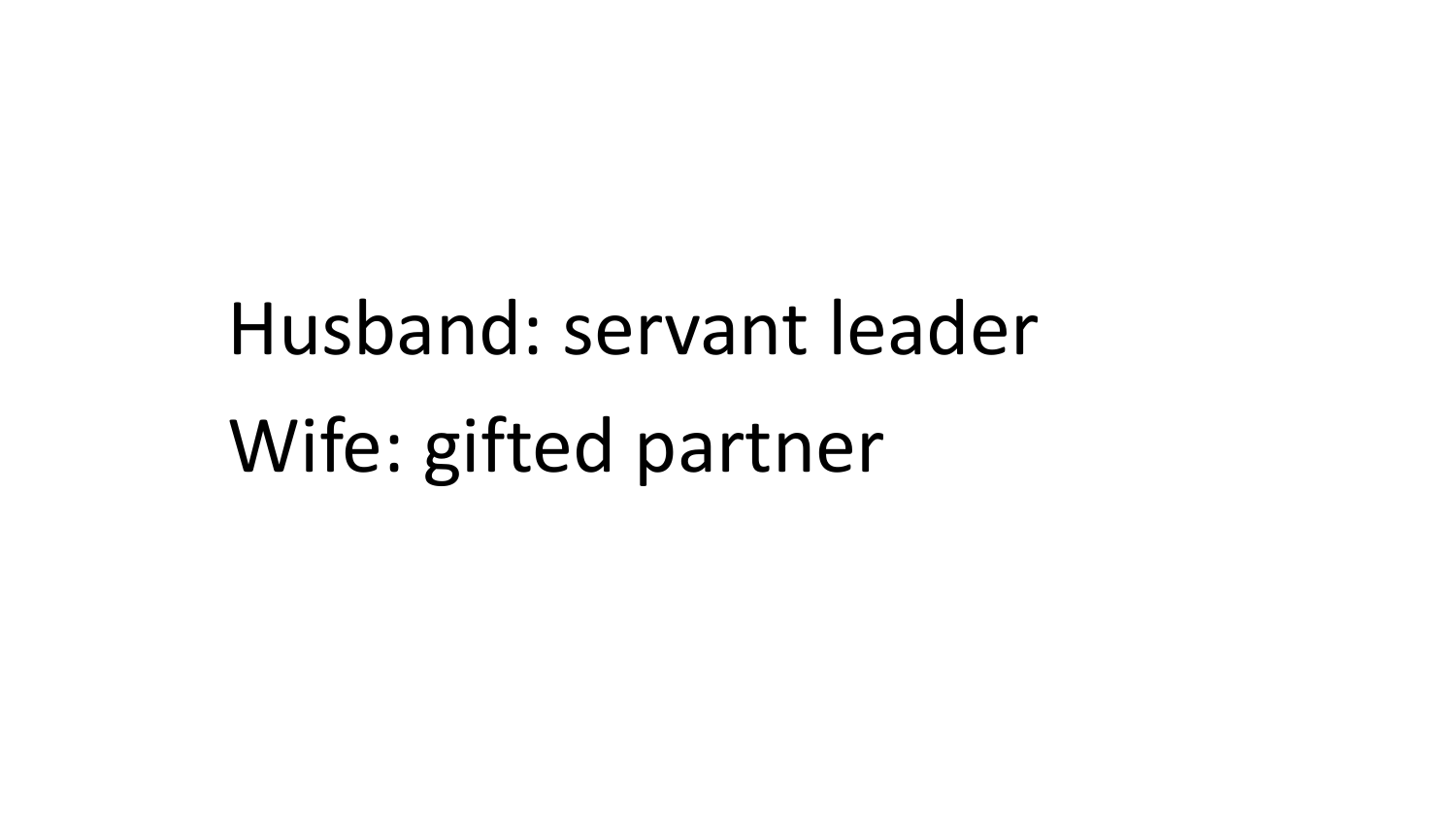# Husband: servant leader Wife: gifted partner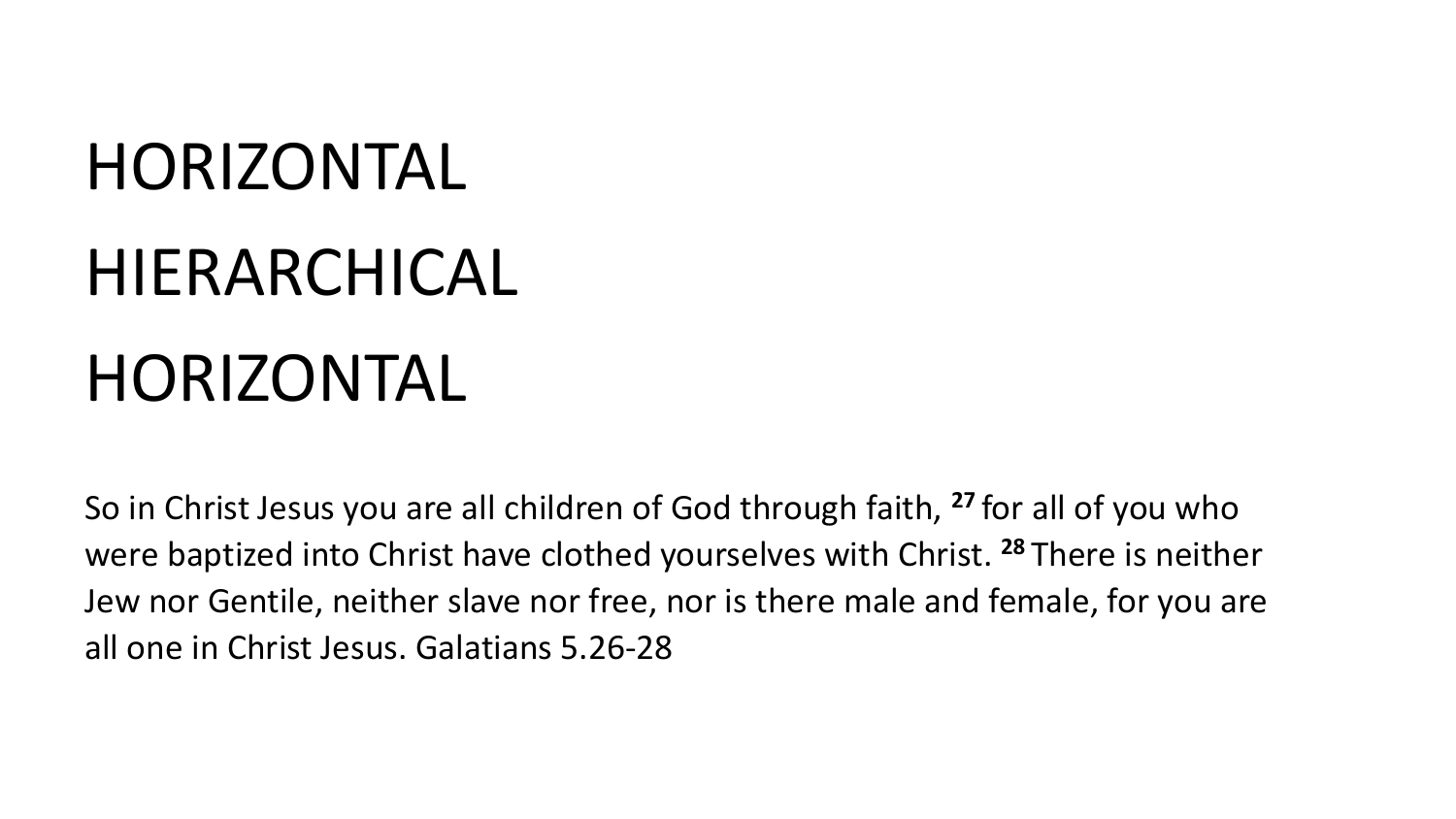## HORIZONTAL

## HIERARCHICAL HORIZONTAL

So in Christ Jesus you are all children of God through faith, **<sup>27</sup>** for all of you who were baptized into Christ have clothed yourselves with Christ. **<sup>28</sup>** There is neither Jew nor Gentile, neither slave nor free, nor is there male and female, for you are all one in Christ Jesus. Galatians 5.26-28